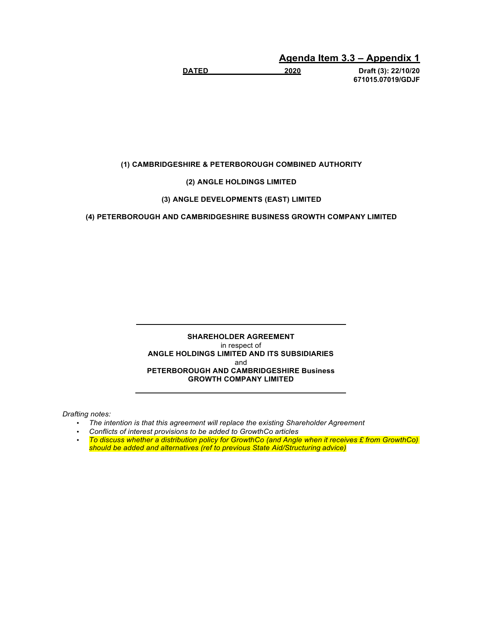**Agenda Item 3.3 – Appendix 1** 

**DATED 2020 Draft (3): 22/10/20 671015.07019/GDJF** 

**(1) CAMBRIDGESHIRE & PETERBOROUGH COMBINED AUTHORITY**

**(2) ANGLE HOLDINGS LIMITED**

## **(3) ANGLE DEVELOPMENTS (EAST) LIMITED**

**(4) PETERBOROUGH AND CAMBRIDGESHIRE BUSINESS GROWTH COMPANY LIMITED**

**SHAREHOLDER AGREEMENT** in respect of **ANGLE HOLDINGS LIMITED AND ITS SUBSIDIARIES** and **PETERBOROUGH AND CAMBRIDGESHIRE Business GROWTH COMPANY LIMITED**

*Drafting notes:*

- *The intention is that this agreement will replace the existing Shareholder Agreement*
- *Conflicts of interest provisions to be added to GrowthCo articles*
- *To discuss whether a distribution policy for GrowthCo (and Angle when it receives £ from GrowthCo) should be added and alternatives (ref to previous State Aid/Structuring advice)*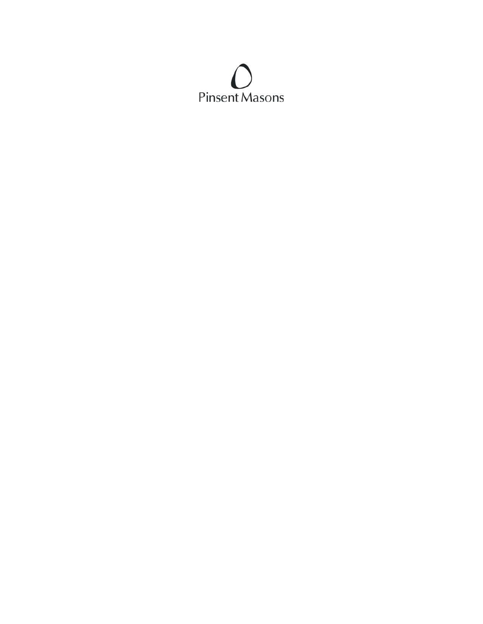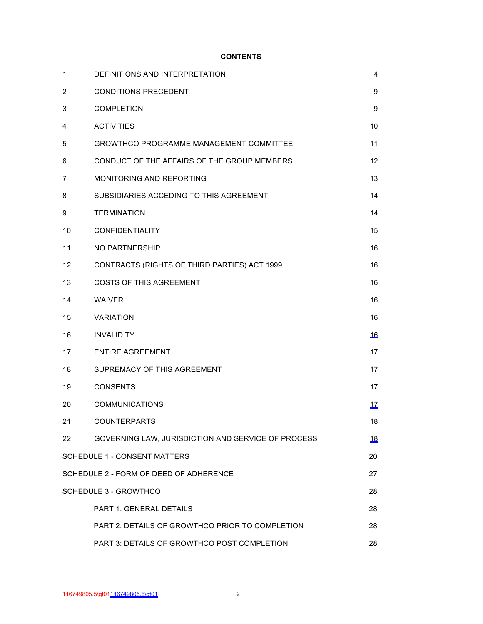## **CONTENTS**

| $\mathbf{1}$   | DEFINITIONS AND INTERPRETATION                     | 4          |
|----------------|----------------------------------------------------|------------|
| $\overline{c}$ | <b>CONDITIONS PRECEDENT</b>                        | 9          |
| 3              | <b>COMPLETION</b>                                  | 9          |
| 4              | <b>ACTIVITIES</b>                                  | 10         |
| 5              | <b>GROWTHCO PROGRAMME MANAGEMENT COMMITTEE</b>     | 11         |
| 6              | CONDUCT OF THE AFFAIRS OF THE GROUP MEMBERS        | 12         |
| 7              | <b>MONITORING AND REPORTING</b>                    | 13         |
| 8              | SUBSIDIARIES ACCEDING TO THIS AGREEMENT            | 14         |
| 9              | <b>TERMINATION</b>                                 | 14         |
| 10             | CONFIDENTIALITY                                    | 15         |
| 11             | <b>NO PARTNERSHIP</b>                              | 16         |
| 12             | CONTRACTS (RIGHTS OF THIRD PARTIES) ACT 1999       | 16         |
| 13             | <b>COSTS OF THIS AGREEMENT</b>                     | 16         |
| 14             | <b>WAIVER</b>                                      | 16         |
| 15             | <b>VARIATION</b>                                   | 16         |
| 16             | <b>INVALIDITY</b>                                  | <u>16</u>  |
| 17             | <b>ENTIRE AGREEMENT</b>                            | 17         |
| 18             | SUPREMACY OF THIS AGREEMENT                        | 17         |
| 19             | <b>CONSENTS</b>                                    | 17         |
| 20             | <b>COMMUNICATIONS</b>                              | <u> 17</u> |
| 21             | <b>COUNTERPARTS</b>                                | 18         |
| 22             | GOVERNING LAW, JURISDICTION AND SERVICE OF PROCESS | <u>18</u>  |
|                | <b>SCHEDULE 1 - CONSENT MATTERS</b>                | 20         |
|                | SCHEDULE 2 - FORM OF DEED OF ADHERENCE             | 27         |
|                | <b>SCHEDULE 3 - GROWTHCO</b>                       | 28         |
|                | <b>PART 1: GENERAL DETAILS</b>                     | 28         |
|                | PART 2: DETAILS OF GROWTHCO PRIOR TO COMPLETION    | 28         |
|                | PART 3: DETAILS OF GROWTHCO POST COMPLETION        | 28         |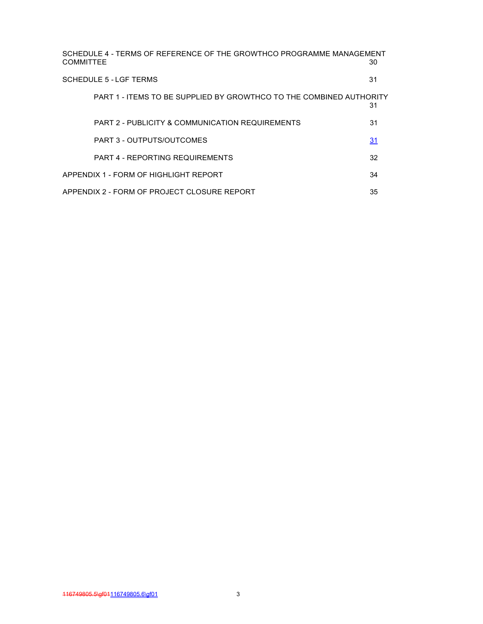| SCHEDULE 4 - TERMS OF REFERENCE OF THE GROWTHCO PROGRAMME MANAGEMENT<br><b>COMMITTEE</b><br>30 |    |  |
|------------------------------------------------------------------------------------------------|----|--|
| SCHEDULE 5 - LGE TERMS                                                                         | 31 |  |
| PART 1 - ITEMS TO BE SUPPLIED BY GROWTHCO TO THE COMBINED AUTHORITY                            | 31 |  |
| PART 2 - PUBLICITY & COMMUNICATION REQUIREMENTS                                                | 31 |  |
| PART 3 - OUTPUTS/OUTCOMES                                                                      | 31 |  |
| <b>PART 4 - REPORTING REQUIREMENTS</b>                                                         | 32 |  |
| APPENDIX 1 - FORM OF HIGHI IGHT REPORT                                                         | 34 |  |
| APPENDIX 2 - FORM OF PROJECT CLOSURE REPORT<br>35                                              |    |  |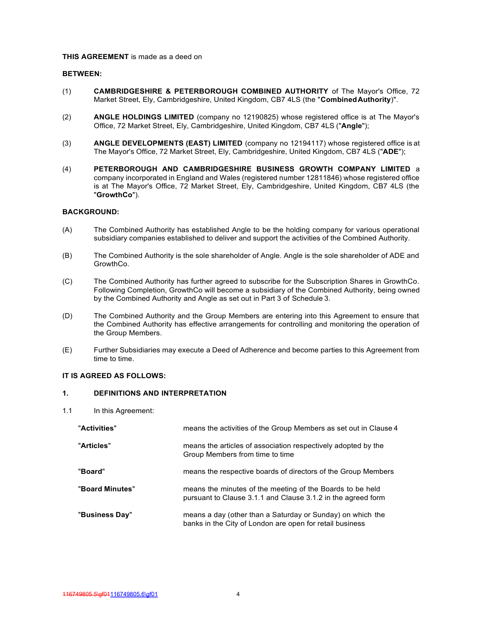#### **THIS AGREEMENT** is made as a deed on

#### **BETWEEN:**

- (1) **CAMBRIDGESHIRE & PETERBOROUGH COMBINED AUTHORITY** of The Mayor's Office, 72 Market Street, Ely, Cambridgeshire, United Kingdom, CB7 4LS (the "**Combined Authority**)".
- (2) **ANGLE HOLDINGS LIMITED** (company no 12190825) whose registered office is at The Mayor's Office, 72 Market Street, Ely, Cambridgeshire, United Kingdom, CB7 4LS ("**Angle**");
- (3) **ANGLE DEVELOPMENTS (EAST) LIMITED** (company no 12194117) whose registered office is at The Mayor's Office, 72 Market Street, Ely, Cambridgeshire, United Kingdom, CB7 4LS ("**ADE**");
- (4) **PETERBOROUGH AND CAMBRIDGESHIRE BUSINESS GROWTH COMPANY LIMITED** a company incorporated in England and Wales (registered number 12811846) whose registered office is at The Mayor's Office, 72 Market Street, Ely, Cambridgeshire, United Kingdom, CB7 4LS (the "**GrowthCo**").

### **BACKGROUND:**

- (A) The Combined Authority has established Angle to be the holding company for various operational subsidiary companies established to deliver and support the activities of the Combined Authority.
- (B) The Combined Authority is the sole shareholder of Angle. Angle is the sole shareholder of ADE and GrowthCo.
- (C) The Combined Authority has further agreed to subscribe for the Subscription Shares in GrowthCo. Following Completion, GrowthCo will become a subsidiary of the Combined Authority, being owned by the Combined Authority and Angle as set out in Part 3 of Schedule 3.
- (D) The Combined Authority and the Group Members are entering into this Agreement to ensure that the Combined Authority has effective arrangements for controlling and monitoring the operation of the Group Members.
- (E) Further Subsidiaries may execute a Deed of Adherence and become parties to this Agreement from time to time.

### **IT IS AGREED AS FOLLOWS:**

### **1. DEFINITIONS AND INTERPRETATION**

1.1 In this Agreement:

| "Activities"    | means the activities of the Group Members as set out in Clause 4                                                          |
|-----------------|---------------------------------------------------------------------------------------------------------------------------|
| "Articles"      | means the articles of association respectively adopted by the<br>Group Members from time to time                          |
| "Board"         | means the respective boards of directors of the Group Members                                                             |
| "Board Minutes" | means the minutes of the meeting of the Boards to be held<br>pursuant to Clause 3.1.1 and Clause 3.1.2 in the agreed form |
| "Business Day"  | means a day (other than a Saturday or Sunday) on which the<br>banks in the City of London are open for retail business    |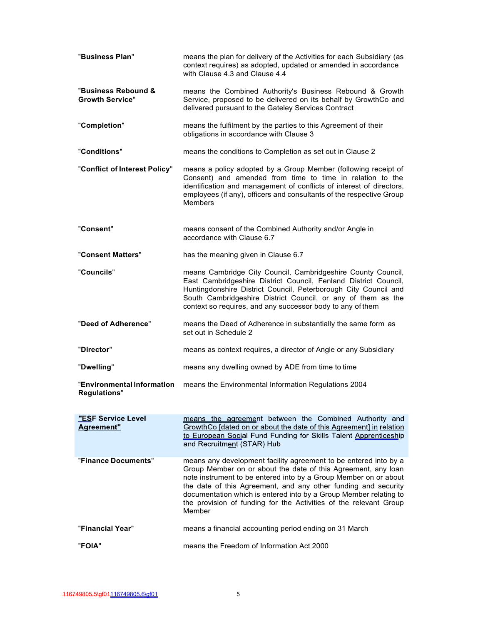| "Business Plan"                               | means the plan for delivery of the Activities for each Subsidiary (as<br>context requires) as adopted, updated or amended in accordance<br>with Clause 4.3 and Clause 4.4                                                                                                                                                                                                                                                   |
|-----------------------------------------------|-----------------------------------------------------------------------------------------------------------------------------------------------------------------------------------------------------------------------------------------------------------------------------------------------------------------------------------------------------------------------------------------------------------------------------|
| "Business Rebound &<br><b>Growth Service"</b> | means the Combined Authority's Business Rebound & Growth<br>Service, proposed to be delivered on its behalf by GrowthCo and<br>delivered pursuant to the Gateley Services Contract                                                                                                                                                                                                                                          |
| "Completion"                                  | means the fulfilment by the parties to this Agreement of their<br>obligations in accordance with Clause 3                                                                                                                                                                                                                                                                                                                   |
| "Conditions"                                  | means the conditions to Completion as set out in Clause 2                                                                                                                                                                                                                                                                                                                                                                   |
| "Conflict of Interest Policy"                 | means a policy adopted by a Group Member (following receipt of<br>Consent) and amended from time to time in relation to the<br>identification and management of conflicts of interest of directors,<br>employees (if any), officers and consultants of the respective Group<br><b>Members</b>                                                                                                                               |
| "Consent"                                     | means consent of the Combined Authority and/or Angle in<br>accordance with Clause 6.7                                                                                                                                                                                                                                                                                                                                       |
| "Consent Matters"                             | has the meaning given in Clause 6.7                                                                                                                                                                                                                                                                                                                                                                                         |
| "Councils"                                    | means Cambridge City Council, Cambridgeshire County Council,<br>East Cambridgeshire District Council, Fenland District Council,<br>Huntingdonshire District Council, Peterborough City Council and<br>South Cambridgeshire District Council, or any of them as the<br>context so requires, and any successor body to any of them                                                                                            |
| "Deed of Adherence"                           | means the Deed of Adherence in substantially the same form as<br>set out in Schedule 2                                                                                                                                                                                                                                                                                                                                      |
| "Director"                                    | means as context requires, a director of Angle or any Subsidiary                                                                                                                                                                                                                                                                                                                                                            |
| "Dwelling"                                    | means any dwelling owned by ADE from time to time                                                                                                                                                                                                                                                                                                                                                                           |
| "Environmental Information<br>Regulations"    | means the Environmental Information Regulations 2004                                                                                                                                                                                                                                                                                                                                                                        |
| "ESF Service Level<br><b>Agreement"</b>       | means the agreement between the Combined Authority and<br>GrowthCo [dated on or about the date of this Agreement] in relation<br>to European Social Fund Funding for Skills Talent Apprenticeship<br>and Recruitment (STAR) Hub                                                                                                                                                                                             |
| "Finance Documents"                           | means any development facility agreement to be entered into by a<br>Group Member on or about the date of this Agreement, any loan<br>note instrument to be entered into by a Group Member on or about<br>the date of this Agreement, and any other funding and security<br>documentation which is entered into by a Group Member relating to<br>the provision of funding for the Activities of the relevant Group<br>Member |
| "Financial Year"                              | means a financial accounting period ending on 31 March                                                                                                                                                                                                                                                                                                                                                                      |
| <b>"FOIA"</b>                                 | means the Freedom of Information Act 2000                                                                                                                                                                                                                                                                                                                                                                                   |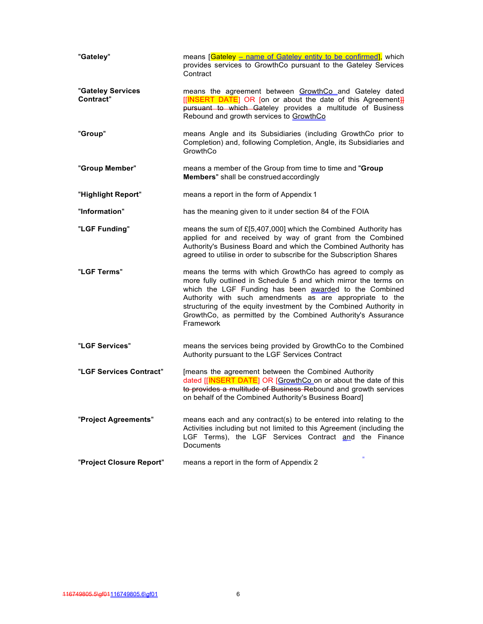| "Gateley"                      | means [Gateley - name of Gateley entity to be confirmed], which<br>provides services to GrowthCo pursuant to the Gateley Services<br>Contract                                                                                                                                                                                                                                                          |
|--------------------------------|--------------------------------------------------------------------------------------------------------------------------------------------------------------------------------------------------------------------------------------------------------------------------------------------------------------------------------------------------------------------------------------------------------|
| "Gateley Services<br>Contract" | means the agreement between GrowthCo and Gateley dated<br>[[INSERT DATE] OR [on or about the date of this Agreement]]<br>pursuant to which Gateley provides a multitude of Business<br>Rebound and growth services to GrowthCo                                                                                                                                                                         |
| "Group"                        | means Angle and its Subsidiaries (including GrowthCo prior to<br>Completion) and, following Completion, Angle, its Subsidiaries and<br>GrowthCo                                                                                                                                                                                                                                                        |
| "Group Member"                 | means a member of the Group from time to time and "Group<br>Members" shall be construed accordingly                                                                                                                                                                                                                                                                                                    |
| "Highlight Report"             | means a report in the form of Appendix 1                                                                                                                                                                                                                                                                                                                                                               |
| "Information"                  | has the meaning given to it under section 84 of the FOIA                                                                                                                                                                                                                                                                                                                                               |
| "LGF Funding"                  | means the sum of £[5,407,000] which the Combined Authority has<br>applied for and received by way of grant from the Combined<br>Authority's Business Board and which the Combined Authority has<br>agreed to utilise in order to subscribe for the Subscription Shares                                                                                                                                 |
| "LGF Terms"                    | means the terms with which GrowthCo has agreed to comply as<br>more fully outlined in Schedule 5 and which mirror the terms on<br>which the LGF Funding has been awarded to the Combined<br>Authority with such amendments as are appropriate to the<br>structuring of the equity investment by the Combined Authority in<br>GrowthCo, as permitted by the Combined Authority's Assurance<br>Framework |
| "LGF Services"                 | means the services being provided by GrowthCo to the Combined<br>Authority pursuant to the LGF Services Contract                                                                                                                                                                                                                                                                                       |
| "LGF Services Contract"        | [means the agreement between the Combined Authority<br>dated [[INSERT DATE] OR [GrowthCo on or about the date of this<br>to provides a multitude of Business Rebound and growth services<br>on behalf of the Combined Authority's Business Board]                                                                                                                                                      |
| "Project Agreements"           | means each and any contract(s) to be entered into relating to the<br>Activities including but not limited to this Agreement (including the<br>LGF Terms), the LGF Services Contract and the Finance<br>Documents                                                                                                                                                                                       |
| "Project Closure Report"       | means a report in the form of Appendix 2                                                                                                                                                                                                                                                                                                                                                               |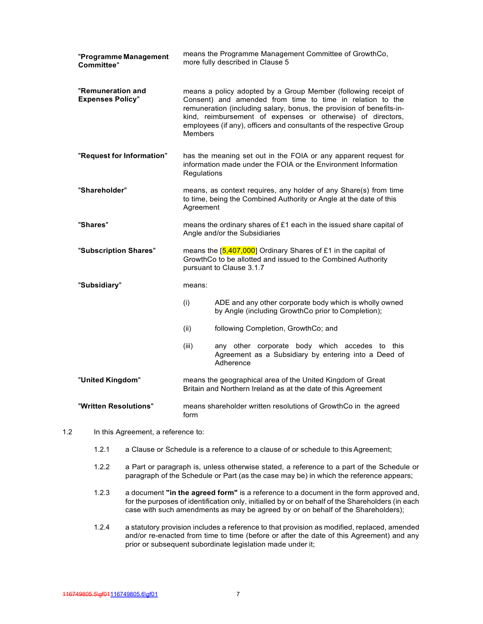| "Programme Management<br><b>Committee"</b>   |                                                                                                                                                                                                                                                                                                                                                              | means the Programme Management Committee of GrowthCo,<br>more fully described in Clause 5                                   |  |
|----------------------------------------------|--------------------------------------------------------------------------------------------------------------------------------------------------------------------------------------------------------------------------------------------------------------------------------------------------------------------------------------------------------------|-----------------------------------------------------------------------------------------------------------------------------|--|
| "Remuneration and<br><b>Expenses Policy"</b> | means a policy adopted by a Group Member (following receipt of<br>Consent) and amended from time to time in relation to the<br>remuneration (including salary, bonus, the provision of benefits-in-<br>kind, reimbursement of expenses or otherwise) of directors,<br>employees (if any), officers and consultants of the respective Group<br><b>Members</b> |                                                                                                                             |  |
| "Request for Information"                    | has the meaning set out in the FOIA or any apparent request for<br>information made under the FOIA or the Environment Information<br>Regulations                                                                                                                                                                                                             |                                                                                                                             |  |
| "Shareholder"                                | means, as context requires, any holder of any Share(s) from time<br>to time, being the Combined Authority or Angle at the date of this<br>Agreement                                                                                                                                                                                                          |                                                                                                                             |  |
| "Shares"                                     | means the ordinary shares of £1 each in the issued share capital of<br>Angle and/or the Subsidiaries                                                                                                                                                                                                                                                         |                                                                                                                             |  |
| "Subscription Shares"                        | means the $[5,407,000]$ Ordinary Shares of £1 in the capital of<br>GrowthCo to be allotted and issued to the Combined Authority<br>pursuant to Clause 3.1.7                                                                                                                                                                                                  |                                                                                                                             |  |
| "Subsidiary"                                 | means:                                                                                                                                                                                                                                                                                                                                                       |                                                                                                                             |  |
|                                              | (i)                                                                                                                                                                                                                                                                                                                                                          | ADE and any other corporate body which is wholly owned<br>by Angle (including GrowthCo prior to Completion);                |  |
|                                              | (ii)                                                                                                                                                                                                                                                                                                                                                         | following Completion, GrowthCo; and                                                                                         |  |
|                                              | (iii)                                                                                                                                                                                                                                                                                                                                                        | any other corporate body which accedes to this<br>Agreement as a Subsidiary by entering into a Deed of<br>Adherence         |  |
| "United Kingdom"                             |                                                                                                                                                                                                                                                                                                                                                              | means the geographical area of the United Kingdom of Great<br>Britain and Northern Ireland as at the date of this Agreement |  |
| "Written Resolutions"                        | form                                                                                                                                                                                                                                                                                                                                                         | means shareholder written resolutions of GrowthCo in the agreed                                                             |  |

- 1.2 In this Agreement, a reference to:
	- 1.2.1 a Clause or Schedule is a reference to a clause of or schedule to this Agreement;
	- 1.2.2 a Part or paragraph is, unless otherwise stated, a reference to a part of the Schedule or paragraph of the Schedule or Part (as the case may be) in which the reference appears;
	- 1.2.3 a document **"in the agreed form"** is a reference to a document in the form approved and, for the purposes of identification only, initialled by or on behalf of the Shareholders (in each case with such amendments as may be agreed by or on behalf of the Shareholders);
	- 1.2.4 a statutory provision includes a reference to that provision as modified, replaced, amended and/or re-enacted from time to time (before or after the date of this Agreement) and any prior or subsequent subordinate legislation made under it;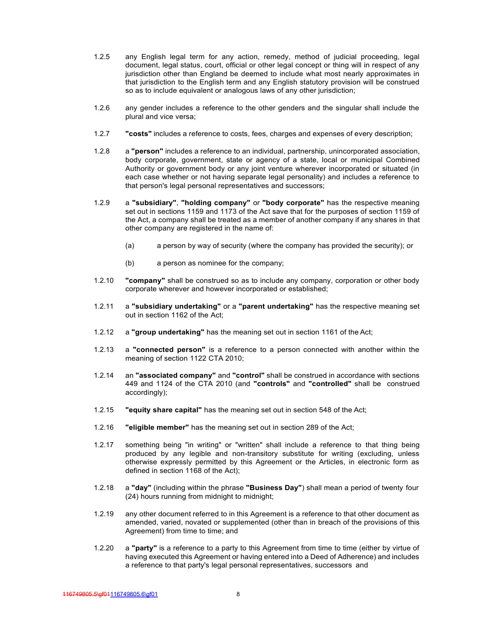- 1.2.5 any English legal term for any action, remedy, method of judicial proceeding, legal document, legal status, court, official or other legal concept or thing will in respect of any jurisdiction other than England be deemed to include what most nearly approximates in that jurisdiction to the English term and any English statutory provision will be construed so as to include equivalent or analogous laws of any other jurisdiction;
- 1.2.6 any gender includes a reference to the other genders and the singular shall include the plural and vice versa;
- 1.2.7 **"costs"** includes a reference to costs, fees, charges and expenses of every description;
- 1.2.8 a **"person"** includes a reference to an individual, partnership, unincorporated association, body corporate, government, state or agency of a state, local or municipal Combined Authority or government body or any joint venture wherever incorporated or situated (in each case whether or not having separate legal personality) and includes a reference to that person's legal personal representatives and successors;
- 1.2.9 a **"subsidiary"**, **"holding company"** or **"body corporate"** has the respective meaning set out in sections 1159 and 1173 of the Act save that for the purposes of section 1159 of the Act, a company shall be treated as a member of another company if any shares in that other company are registered in the name of:
	- (a) a person by way of security (where the company has provided the security); or
	- (b) a person as nominee for the company;
- 1.2.10 **"company"** shall be construed so as to include any company, corporation or other body corporate wherever and however incorporated or established;
- 1.2.11 a **"subsidiary undertaking"** or a **"parent undertaking"** has the respective meaning set out in section 1162 of the Act;
- 1.2.12 a **"group undertaking"** has the meaning set out in section 1161 of the Act;
- 1.2.13 a **"connected person"** is a reference to a person connected with another within the meaning of section 1122 CTA 2010;
- 1.2.14 an **"associated company"** and **"control"** shall be construed in accordance with sections 449 and 1124 of the CTA 2010 (and **"controls"** and **"controlled"** shall be construed accordingly);
- 1.2.15 **"equity share capital"** has the meaning set out in section 548 of the Act;
- 1.2.16 **"eligible member"** has the meaning set out in section 289 of the Act;
- 1.2.17 something being "in writing" or "written" shall include a reference to that thing being produced by any legible and non-transitory substitute for writing (excluding, unless otherwise expressly permitted by this Agreement or the Articles, in electronic form as defined in section 1168 of the Act);
- 1.2.18 a **"day"** (including within the phrase **"Business Day"**) shall mean a period of twenty four (24) hours running from midnight to midnight;
- 1.2.19 any other document referred to in this Agreement is a reference to that other document as amended, varied, novated or supplemented (other than in breach of the provisions of this Agreement) from time to time; and
- 1.2.20 a **"party"** is a reference to a party to this Agreement from time to time (either by virtue of having executed this Agreement or having entered into a Deed of Adherence) and includes a reference to that party's legal personal representatives, successors and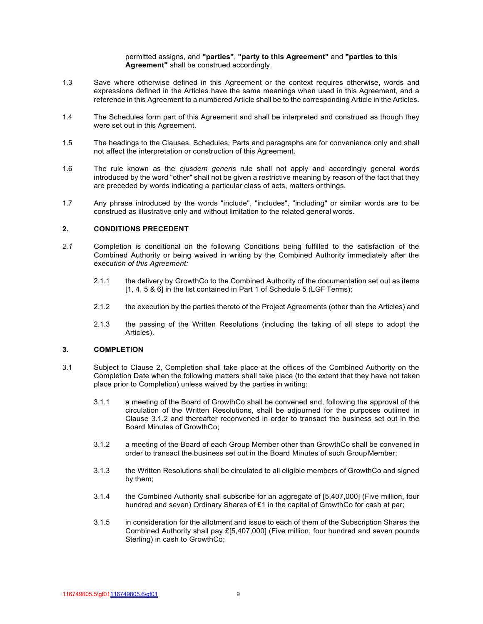permitted assigns, and **"parties"**, **"party to this Agreement"** and **"parties to this Agreement"** shall be construed accordingly.

- 1.3 Save where otherwise defined in this Agreement or the context requires otherwise, words and expressions defined in the Articles have the same meanings when used in this Agreement, and a reference in this Agreement to a numbered Article shall be to the corresponding Article in the Articles.
- 1.4 The Schedules form part of this Agreement and shall be interpreted and construed as though they were set out in this Agreement.
- 1.5 The headings to the Clauses, Schedules, Parts and paragraphs are for convenience only and shall not affect the interpretation or construction of this Agreement.
- 1.6 The rule known as the *ejusdem generis* rule shall not apply and accordingly general words introduced by the word "other" shall not be given a restrictive meaning by reason of the fact that they are preceded by words indicating a particular class of acts, matters or things.
- 1.7 Any phrase introduced by the words "include", "includes", "including" or similar words are to be construed as illustrative only and without limitation to the related general words.

### **2. CONDITIONS PRECEDENT**

- *2.1* Completion is conditional on the following Conditions being fulfilled to the satisfaction of the Combined Authority or being waived in writing by the Combined Authority immediately after the execu*tion of this Agreement:*
	- 2.1.1 the delivery by GrowthCo to the Combined Authority of the documentation set out as items [1, 4, 5 & 6] in the list contained in Part 1 of Schedule 5 (LGF Terms);
	- 2.1.2 the execution by the parties thereto of the Project Agreements (other than the Articles) and
	- 2.1.3 the passing of the Written Resolutions (including the taking of all steps to adopt the Articles).

### **3. COMPLETION**

- 3.1 Subject to Clause 2, Completion shall take place at the offices of the Combined Authority on the Completion Date when the following matters shall take place (to the extent that they have not taken place prior to Completion) unless waived by the parties in writing:
	- 3.1.1 a meeting of the Board of GrowthCo shall be convened and, following the approval of the circulation of the Written Resolutions, shall be adjourned for the purposes outlined in Clause 3.1.2 and thereafter reconvened in order to transact the business set out in the Board Minutes of GrowthCo;
	- 3.1.2 a meeting of the Board of each Group Member other than GrowthCo shall be convened in order to transact the business set out in the Board Minutes of such Group Member;
	- 3.1.3 the Written Resolutions shall be circulated to all eligible members of GrowthCo and signed by them;
	- 3.1.4 the Combined Authority shall subscribe for an aggregate of [5,407,000] (Five million, four hundred and seven) Ordinary Shares of £1 in the capital of GrowthCo for cash at par;
	- 3.1.5 in consideration for the allotment and issue to each of them of the Subscription Shares the Combined Authority shall pay £[5,407,000] (Five million, four hundred and seven pounds Sterling) in cash to GrowthCo;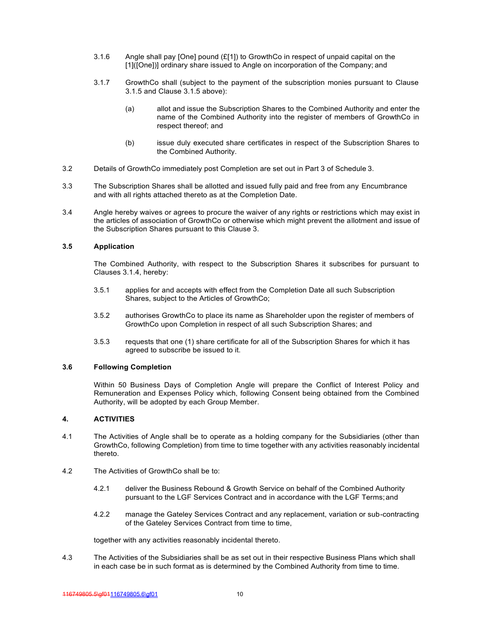- 3.1.6 Angle shall pay [One] pound (£[1]) to GrowthCo in respect of unpaid capital on the [1]([One])] ordinary share issued to Angle on incorporation of the Company; and
- 3.1.7 GrowthCo shall (subject to the payment of the subscription monies pursuant to Clause 3.1.5 and Clause 3.1.5 above):
	- (a) allot and issue the Subscription Shares to the Combined Authority and enter the name of the Combined Authority into the register of members of GrowthCo in respect thereof; and
	- (b) issue duly executed share certificates in respect of the Subscription Shares to the Combined Authority.
- 3.2 Details of GrowthCo immediately post Completion are set out in Part 3 of Schedule 3.
- 3.3 The Subscription Shares shall be allotted and issued fully paid and free from any Encumbrance and with all rights attached thereto as at the Completion Date.
- 3.4 Angle hereby waives or agrees to procure the waiver of any rights or restrictions which may exist in the articles of association of GrowthCo or otherwise which might prevent the allotment and issue of the Subscription Shares pursuant to this Clause 3.

## **3.5 Application**

The Combined Authority, with respect to the Subscription Shares it subscribes for pursuant to Clauses 3.1.4, hereby:

- 3.5.1 applies for and accepts with effect from the Completion Date all such Subscription Shares, subject to the Articles of GrowthCo;
- 3.5.2 authorises GrowthCo to place its name as Shareholder upon the register of members of GrowthCo upon Completion in respect of all such Subscription Shares; and
- 3.5.3 requests that one (1) share certificate for all of the Subscription Shares for which it has agreed to subscribe be issued to it.

#### **3.6 Following Completion**

Within 50 Business Days of Completion Angle will prepare the Conflict of Interest Policy and Remuneration and Expenses Policy which, following Consent being obtained from the Combined Authority, will be adopted by each Group Member.

#### **4. ACTIVITIES**

- 4.1 The Activities of Angle shall be to operate as a holding company for the Subsidiaries (other than GrowthCo, following Completion) from time to time together with any activities reasonably incidental thereto.
- 4.2 The Activities of GrowthCo shall be to:
	- 4.2.1 deliver the Business Rebound & Growth Service on behalf of the Combined Authority pursuant to the LGF Services Contract and in accordance with the LGF Terms; and
	- 4.2.2 manage the Gateley Services Contract and any replacement, variation or sub-contracting of the Gateley Services Contract from time to time,

together with any activities reasonably incidental thereto.

4.3 The Activities of the Subsidiaries shall be as set out in their respective Business Plans which shall in each case be in such format as is determined by the Combined Authority from time to time.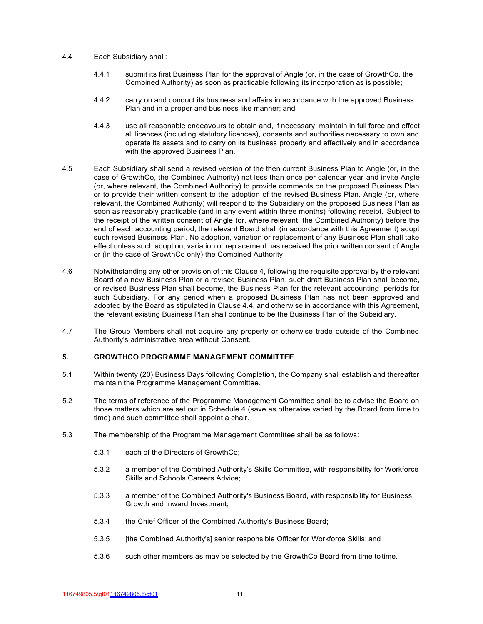- 4.4 Each Subsidiary shall:
	- 4.4.1 submit its first Business Plan for the approval of Angle (or, in the case of GrowthCo, the Combined Authority) as soon as practicable following its incorporation as is possible;
	- 4.4.2 carry on and conduct its business and affairs in accordance with the approved Business Plan and in a proper and business like manner; and
	- 4.4.3 use all reasonable endeavours to obtain and, if necessary, maintain in full force and effect all licences (including statutory licences), consents and authorities necessary to own and operate its assets and to carry on its business properly and effectively and in accordance with the approved Business Plan.
- 4.5 Each Subsidiary shall send a revised version of the then current Business Plan to Angle (or, in the case of GrowthCo, the Combined Authority) not less than once per calendar year and invite Angle (or, where relevant, the Combined Authority) to provide comments on the proposed Business Plan or to provide their written consent to the adoption of the revised Business Plan. Angle (or, where relevant, the Combined Authority) will respond to the Subsidiary on the proposed Business Plan as soon as reasonably practicable (and in any event within three months) following receipt. Subject to the receipt of the written consent of Angle (or, where relevant, the Combined Authority) before the end of each accounting period, the relevant Board shall (in accordance with this Agreement) adopt such revised Business Plan. No adoption, variation or replacement of any Business Plan shall take effect unless such adoption, variation or replacement has received the prior written consent of Angle or (in the case of GrowthCo only) the Combined Authority.
- 4.6 Notwithstanding any other provision of this Clause 4, following the requisite approval by the relevant Board of a new Business Plan or a revised Business Plan, such draft Business Plan shall become, or revised Business Plan shall become, the Business Plan for the relevant accounting periods for such Subsidiary. For any period when a proposed Business Plan has not been approved and adopted by the Board as stipulated in Clause 4.4, and otherwise in accordance with this Agreement, the relevant existing Business Plan shall continue to be the Business Plan of the Subsidiary.
- 4.7 The Group Members shall not acquire any property or otherwise trade outside of the Combined Authority's administrative area without Consent.

### **5. GROWTHCO PROGRAMME MANAGEMENT COMMITTEE**

- 5.1 Within twenty (20) Business Days following Completion, the Company shall establish and thereafter maintain the Programme Management Committee.
- 5.2 The terms of reference of the Programme Management Committee shall be to advise the Board on those matters which are set out in Schedule 4 (save as otherwise varied by the Board from time to time) and such committee shall appoint a chair.
- 5.3 The membership of the Programme Management Committee shall be as follows:
	- 5.3.1 each of the Directors of GrowthCo;
	- 5.3.2 a member of the Combined Authority's Skills Committee, with responsibility for Workforce Skills and Schools Careers Advice;
	- 5.3.3 a member of the Combined Authority's Business Board, with responsibility for Business Growth and Inward Investment;
	- 5.3.4 the Chief Officer of the Combined Authority's Business Board;
	- 5.3.5 [the Combined Authority's] senior responsible Officer for Workforce Skills; and
	- 5.3.6 such other members as may be selected by the GrowthCo Board from time to time.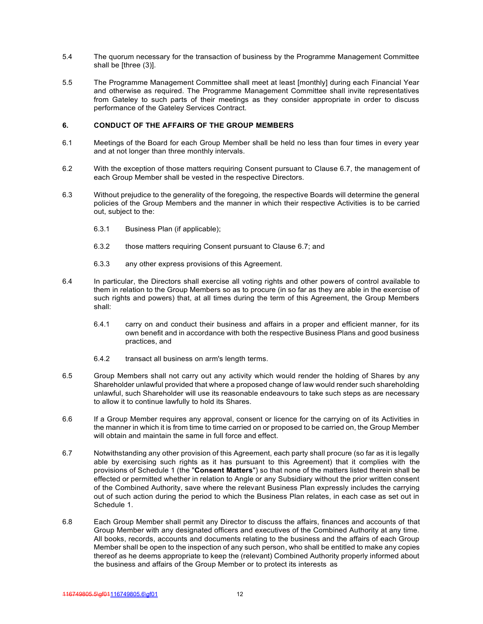- 5.4 The quorum necessary for the transaction of business by the Programme Management Committee shall be [three (3)].
- 5.5 The Programme Management Committee shall meet at least [monthly] during each Financial Year and otherwise as required. The Programme Management Committee shall invite representatives from Gateley to such parts of their meetings as they consider appropriate in order to discuss performance of the Gateley Services Contract.

### **6. CONDUCT OF THE AFFAIRS OF THE GROUP MEMBERS**

- 6.1 Meetings of the Board for each Group Member shall be held no less than four times in every year and at not longer than three monthly intervals.
- 6.2 With the exception of those matters requiring Consent pursuant to Clause 6.7, the management of each Group Member shall be vested in the respective Directors.
- 6.3 Without prejudice to the generality of the foregoing, the respective Boards will determine the general policies of the Group Members and the manner in which their respective Activities is to be carried out, subject to the:
	- 6.3.1 Business Plan (if applicable);
	- 6.3.2 those matters requiring Consent pursuant to Clause 6.7; and
	- 6.3.3 any other express provisions of this Agreement.
- 6.4 In particular, the Directors shall exercise all voting rights and other powers of control available to them in relation to the Group Members so as to procure (in so far as they are able in the exercise of such rights and powers) that, at all times during the term of this Agreement, the Group Members shall:
	- 6.4.1 carry on and conduct their business and affairs in a proper and efficient manner, for its own benefit and in accordance with both the respective Business Plans and good business practices, and
	- 6.4.2 transact all business on arm's length terms.
- 6.5 Group Members shall not carry out any activity which would render the holding of Shares by any Shareholder unlawful provided that where a proposed change of law would render such shareholding unlawful, such Shareholder will use its reasonable endeavours to take such steps as are necessary to allow it to continue lawfully to hold its Shares.
- 6.6 If a Group Member requires any approval, consent or licence for the carrying on of its Activities in the manner in which it is from time to time carried on or proposed to be carried on, the Group Member will obtain and maintain the same in full force and effect.
- 6.7 Notwithstanding any other provision of this Agreement, each party shall procure (so far as it is legally able by exercising such rights as it has pursuant to this Agreement) that it complies with the provisions of Schedule 1 (the "**Consent Matters**") so that none of the matters listed therein shall be effected or permitted whether in relation to Angle or any Subsidiary without the prior written consent of the Combined Authority, save where the relevant Business Plan expressly includes the carrying out of such action during the period to which the Business Plan relates, in each case as set out in Schedule 1.
- 6.8 Each Group Member shall permit any Director to discuss the affairs, finances and accounts of that Group Member with any designated officers and executives of the Combined Authority at any time. All books, records, accounts and documents relating to the business and the affairs of each Group Member shall be open to the inspection of any such person, who shall be entitled to make any copies thereof as he deems appropriate to keep the (relevant) Combined Authority properly informed about the business and affairs of the Group Member or to protect its interests as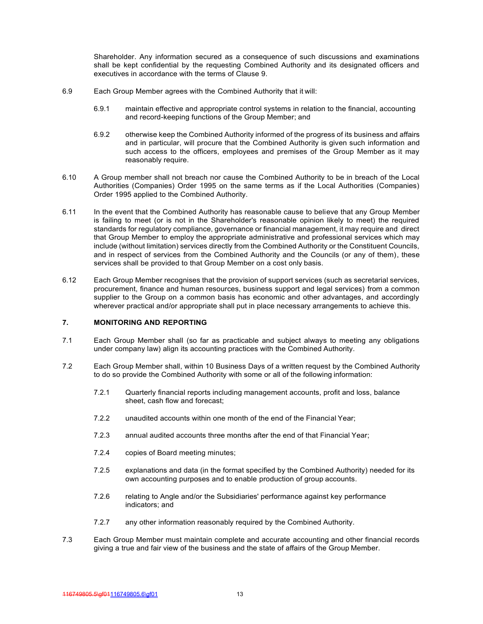Shareholder. Any information secured as a consequence of such discussions and examinations shall be kept confidential by the requesting Combined Authority and its designated officers and executives in accordance with the terms of Clause 9.

- 6.9 Each Group Member agrees with the Combined Authority that it will:
	- 6.9.1 maintain effective and appropriate control systems in relation to the financial, accounting and record-keeping functions of the Group Member; and
	- 6.9.2 otherwise keep the Combined Authority informed of the progress of its business and affairs and in particular, will procure that the Combined Authority is given such information and such access to the officers, employees and premises of the Group Member as it may reasonably require.
- 6.10 A Group member shall not breach nor cause the Combined Authority to be in breach of the Local Authorities (Companies) Order 1995 on the same terms as if the Local Authorities (Companies) Order 1995 applied to the Combined Authority.
- 6.11 In the event that the Combined Authority has reasonable cause to believe that any Group Member is failing to meet (or is not in the Shareholder's reasonable opinion likely to meet) the required standards for regulatory compliance, governance or financial management, it may require and direct that Group Member to employ the appropriate administrative and professional services which may include (without limitation) services directly from the Combined Authority or the Constituent Councils, and in respect of services from the Combined Authority and the Councils (or any of them), these services shall be provided to that Group Member on a cost only basis.
- 6.12 Each Group Member recognises that the provision of support services (such as secretarial services, procurement, finance and human resources, business support and legal services) from a common supplier to the Group on a common basis has economic and other advantages, and accordingly wherever practical and/or appropriate shall put in place necessary arrangements to achieve this.

### **7. MONITORING AND REPORTING**

- 7.1 Each Group Member shall (so far as practicable and subject always to meeting any obligations under company law) align its accounting practices with the Combined Authority.
- 7.2 Each Group Member shall, within 10 Business Days of a written request by the Combined Authority to do so provide the Combined Authority with some or all of the following information:
	- 7.2.1 Quarterly financial reports including management accounts, profit and loss, balance sheet, cash flow and forecast;
	- 7.2.2 unaudited accounts within one month of the end of the Financial Year;
	- 7.2.3 annual audited accounts three months after the end of that Financial Year;
	- 7.2.4 copies of Board meeting minutes;
	- 7.2.5 explanations and data (in the format specified by the Combined Authority) needed for its own accounting purposes and to enable production of group accounts.
	- 7.2.6 relating to Angle and/or the Subsidiaries' performance against key performance indicators; and
	- 7.2.7 any other information reasonably required by the Combined Authority.
- 7.3 Each Group Member must maintain complete and accurate accounting and other financial records giving a true and fair view of the business and the state of affairs of the Group Member.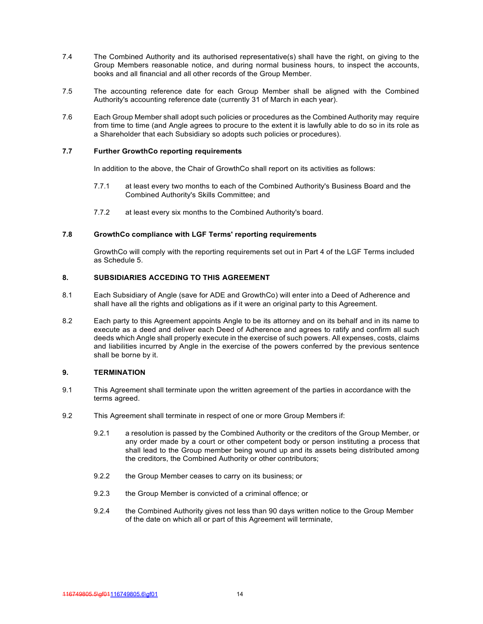- 7.4 The Combined Authority and its authorised representative(s) shall have the right, on giving to the Group Members reasonable notice, and during normal business hours, to inspect the accounts, books and all financial and all other records of the Group Member.
- 7.5 The accounting reference date for each Group Member shall be aligned with the Combined Authority's accounting reference date (currently 31 of March in each year).
- 7.6 Each Group Member shall adopt such policies or procedures as the Combined Authority may require from time to time (and Angle agrees to procure to the extent it is lawfully able to do so in its role as a Shareholder that each Subsidiary so adopts such policies or procedures).

### **7.7 Further GrowthCo reporting requirements**

In addition to the above, the Chair of GrowthCo shall report on its activities as follows:

- 7.7.1 at least every two months to each of the Combined Authority's Business Board and the Combined Authority's Skills Committee; and
- 7.7.2 at least every six months to the Combined Authority's board.

#### **7.8 GrowthCo compliance with LGF Terms' reporting requirements**

GrowthCo will comply with the reporting requirements set out in Part 4 of the LGF Terms included as Schedule 5.

## **8. SUBSIDIARIES ACCEDING TO THIS AGREEMENT**

- 8.1 Each Subsidiary of Angle (save for ADE and GrowthCo) will enter into a Deed of Adherence and shall have all the rights and obligations as if it were an original party to this Agreement.
- 8.2 Each party to this Agreement appoints Angle to be its attorney and on its behalf and in its name to execute as a deed and deliver each Deed of Adherence and agrees to ratify and confirm all such deeds which Angle shall properly execute in the exercise of such powers. All expenses, costs, claims and liabilities incurred by Angle in the exercise of the powers conferred by the previous sentence shall be borne by it.

#### **9. TERMINATION**

- 9.1 This Agreement shall terminate upon the written agreement of the parties in accordance with the terms agreed.
- 9.2 This Agreement shall terminate in respect of one or more Group Members if:
	- 9.2.1 a resolution is passed by the Combined Authority or the creditors of the Group Member, or any order made by a court or other competent body or person instituting a process that shall lead to the Group member being wound up and its assets being distributed among the creditors, the Combined Authority or other contributors;
	- 9.2.2 the Group Member ceases to carry on its business; or
	- 9.2.3 the Group Member is convicted of a criminal offence; or
	- 9.2.4 the Combined Authority gives not less than 90 days written notice to the Group Member of the date on which all or part of this Agreement will terminate,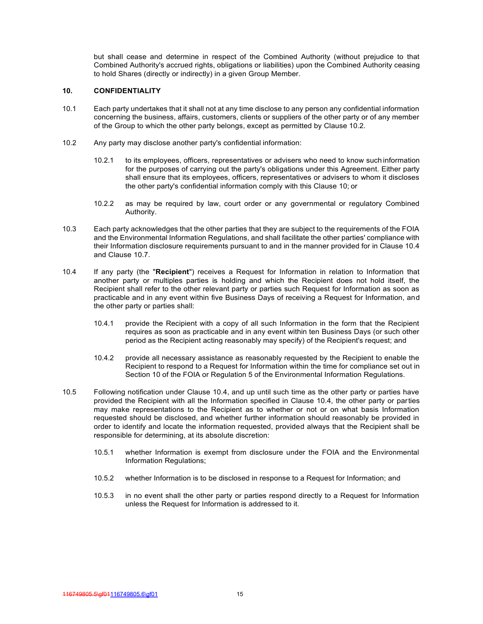but shall cease and determine in respect of the Combined Authority (without prejudice to that Combined Authority's accrued rights, obligations or liabilities) upon the Combined Authority ceasing to hold Shares (directly or indirectly) in a given Group Member.

### **10. CONFIDENTIALITY**

- 10.1 Each party undertakes that it shall not at any time disclose to any person any confidential information concerning the business, affairs, customers, clients or suppliers of the other party or of any member of the Group to which the other party belongs, except as permitted by Clause 10.2.
- 10.2 Any party may disclose another party's confidential information:
	- 10.2.1 to its employees, officers, representatives or advisers who need to know such information for the purposes of carrying out the party's obligations under this Agreement. Either party shall ensure that its employees, officers, representatives or advisers to whom it discloses the other party's confidential information comply with this Clause 10; or
	- 10.2.2 as may be required by law, court order or any governmental or regulatory Combined Authority.
- 10.3 Each party acknowledges that the other parties that they are subject to the requirements of the FOIA and the Environmental Information Regulations, and shall facilitate the other parties' compliance with their Information disclosure requirements pursuant to and in the manner provided for in Clause 10.4 and Clause 10.7.
- 10.4 If any party (the "**Recipient**") receives a Request for Information in relation to Information that another party or multiples parties is holding and which the Recipient does not hold itself, the Recipient shall refer to the other relevant party or parties such Request for Information as soon as practicable and in any event within five Business Days of receiving a Request for Information, and the other party or parties shall:
	- 10.4.1 provide the Recipient with a copy of all such Information in the form that the Recipient requires as soon as practicable and in any event within ten Business Days (or such other period as the Recipient acting reasonably may specify) of the Recipient's request; and
	- 10.4.2 provide all necessary assistance as reasonably requested by the Recipient to enable the Recipient to respond to a Request for Information within the time for compliance set out in Section 10 of the FOIA or Regulation 5 of the Environmental Information Regulations.
- 10.5 Following notification under Clause 10.4, and up until such time as the other party or parties have provided the Recipient with all the Information specified in Clause 10.4, the other party or parties may make representations to the Recipient as to whether or not or on what basis Information requested should be disclosed, and whether further information should reasonably be provided in order to identify and locate the information requested, provided always that the Recipient shall be responsible for determining, at its absolute discretion:
	- 10.5.1 whether Information is exempt from disclosure under the FOIA and the Environmental Information Regulations;
	- 10.5.2 whether Information is to be disclosed in response to a Request for Information; and
	- 10.5.3 in no event shall the other party or parties respond directly to a Request for Information unless the Request for Information is addressed to it.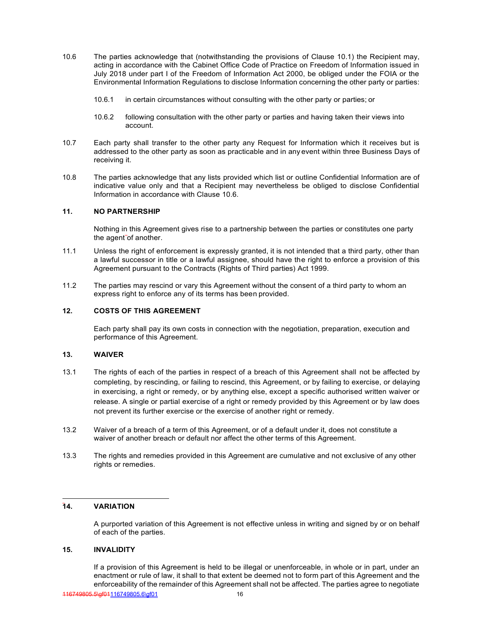- 10.6 The parties acknowledge that (notwithstanding the provisions of Clause 10.1) the Recipient may, acting in accordance with the Cabinet Office Code of Practice on Freedom of Information issued in July 2018 under part I of the Freedom of Information Act 2000, be obliged under the FOIA or the Environmental Information Regulations to disclose Information concerning the other party or parties:
	- 10.6.1 in certain circumstances without consulting with the other party or parties; or
	- 10.6.2 following consultation with the other party or parties and having taken their views into account.
- 10.7 Each party shall transfer to the other party any Request for Information which it receives but is addressed to the other party as soon as practicable and in any event within three Business Days of receiving it.
- 10.8 The parties acknowledge that any lists provided which list or outline Confidential Information are of indicative value only and that a Recipient may nevertheless be obliged to disclose Confidential Information in accordance with Clause 10.6.

## **11. NO PARTNERSHIP**

Nothing in this Agreement gives rise to a partnership between the parties or constitutes one party the agent of another.

- 11.1 Unless the right of enforcement is expressly granted, it is not intended that a third party, other than a lawful successor in title or a lawful assignee, should have the right to enforce a provision of this Agreement pursuant to the Contracts (Rights of Third parties) Act 1999.
- 11.2 The parties may rescind or vary this Agreement without the consent of a third party to whom an express right to enforce any of its terms has been provided.

## **12. COSTS OF THIS AGREEMENT**

Each party shall pay its own costs in connection with the negotiation, preparation, execution and performance of this Agreement.

### **13. WAIVER**

- 13.1 The rights of each of the parties in respect of a breach of this Agreement shall not be affected by completing, by rescinding, or failing to rescind, this Agreement, or by failing to exercise, or delaying in exercising, a right or remedy, or by anything else, except a specific authorised written waiver or release. A single or partial exercise of a right or remedy provided by this Agreement or by law does not prevent its further exercise or the exercise of another right or remedy.
- 13.2 Waiver of a breach of a term of this Agreement, or of a default under it, does not constitute a waiver of another breach or default nor affect the other terms of this Agreement.
- 13.3 The rights and remedies provided in this Agreement are cumulative and not exclusive of any other rights or remedies.

## **14. VARIATION**

A purported variation of this Agreement is not effective unless in writing and signed by or on behalf of each of the parties.

### **15. INVALIDITY**

If a provision of this Agreement is held to be illegal or unenforceable, in whole or in part, under an enactment or rule of law, it shall to that extent be deemed not to form part of this Agreement and the enforceability of the remainder of this Agreement shall not be affected. The parties agree to negotiate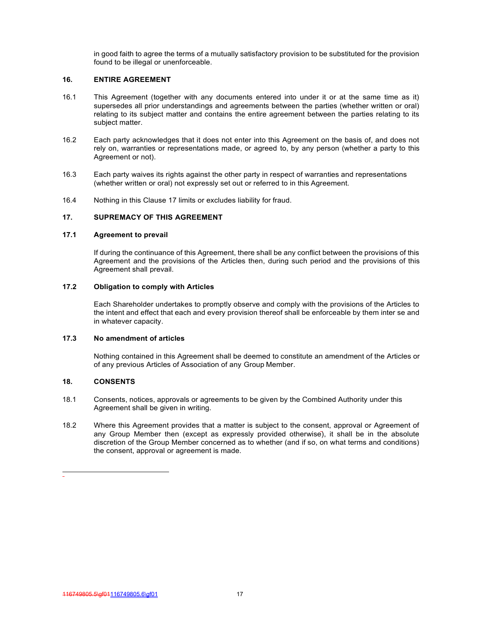in good faith to agree the terms of a mutually satisfactory provision to be substituted for the provision found to be illegal or unenforceable.

## **16. ENTIRE AGREEMENT**

- 16.1 This Agreement (together with any documents entered into under it or at the same time as it) supersedes all prior understandings and agreements between the parties (whether written or oral) relating to its subject matter and contains the entire agreement between the parties relating to its subject matter.
- 16.2 Each party acknowledges that it does not enter into this Agreement on the basis of, and does not rely on, warranties or representations made, or agreed to, by any person (whether a party to this Agreement or not).
- 16.3 Each party waives its rights against the other party in respect of warranties and representations (whether written or oral) not expressly set out or referred to in this Agreement.
- 16.4 Nothing in this Clause 17 limits or excludes liability for fraud.

## **17. SUPREMACY OF THIS AGREEMENT**

#### **17.1 Agreement to prevail**

If during the continuance of this Agreement, there shall be any conflict between the provisions of this Agreement and the provisions of the Articles then, during such period and the provisions of this Agreement shall prevail.

## **17.2 Obligation to comply with Articles**

Each Shareholder undertakes to promptly observe and comply with the provisions of the Articles to the intent and effect that each and every provision thereof shall be enforceable by them inter se and in whatever capacity.

## **17.3 No amendment of articles**

Nothing contained in this Agreement shall be deemed to constitute an amendment of the Articles or of any previous Articles of Association of any Group Member.

## **18. CONSENTS**

- 18.1 Consents, notices, approvals or agreements to be given by the Combined Authority under this Agreement shall be given in writing.
- 18.2 Where this Agreement provides that a matter is subject to the consent, approval or Agreement of any Group Member then (except as expressly provided otherwise), it shall be in the absolute discretion of the Group Member concerned as to whether (and if so, on what terms and conditions) the consent, approval or agreement is made.

<sup>116749805.5\</sup>gf01116749805.6\gf01 17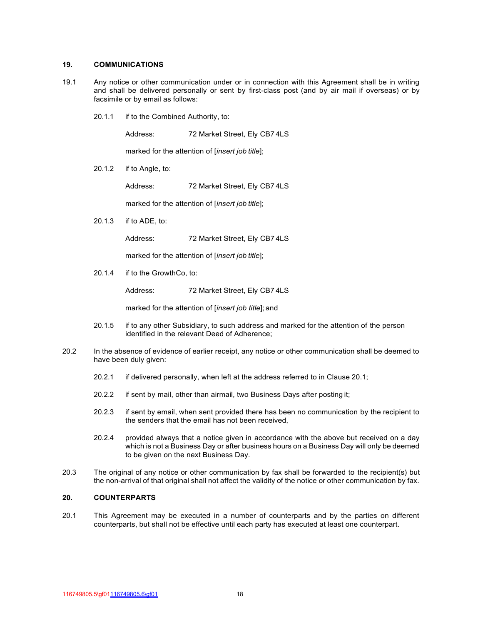#### **19. COMMUNICATIONS**

- 19.1 Any notice or other communication under or in connection with this Agreement shall be in writing and shall be delivered personally or sent by first-class post (and by air mail if overseas) or by facsimile or by email as follows:
	- 20.1.1 if to the Combined Authority, to:

Address: 72 Market Street, Ely CB7 4LS

marked for the attention of [*insert job title*];

20.1.2 if to Angle, to:

Address: 72 Market Street, Ely CB7 4LS

marked for the attention of [*insert job title*];

20.1.3 if to ADE, to:

Address: 72 Market Street, Ely CB7 4LS

marked for the attention of [*insert job title*];

20.1.4 if to the GrowthCo, to:

Address: 72 Market Street, Ely CB7 4LS

marked for the attention of [*insert job title*]; and

- 20.1.5 if to any other Subsidiary, to such address and marked for the attention of the person identified in the relevant Deed of Adherence;
- 20.2 In the absence of evidence of earlier receipt, any notice or other communication shall be deemed to have been duly given:
	- 20.2.1 if delivered personally, when left at the address referred to in Clause 20.1;
	- 20.2.2 if sent by mail, other than airmail, two Business Days after posting it;
	- 20.2.3 if sent by email, when sent provided there has been no communication by the recipient to the senders that the email has not been received,
	- 20.2.4 provided always that a notice given in accordance with the above but received on a day which is not a Business Day or after business hours on a Business Day will only be deemed to be given on the next Business Day.
- 20.3 The original of any notice or other communication by fax shall be forwarded to the recipient(s) but the non-arrival of that original shall not affect the validity of the notice or other communication by fax.

## **20. COUNTERPARTS**

20.1 This Agreement may be executed in a number of counterparts and by the parties on different counterparts, but shall not be effective until each party has executed at least one counterpart.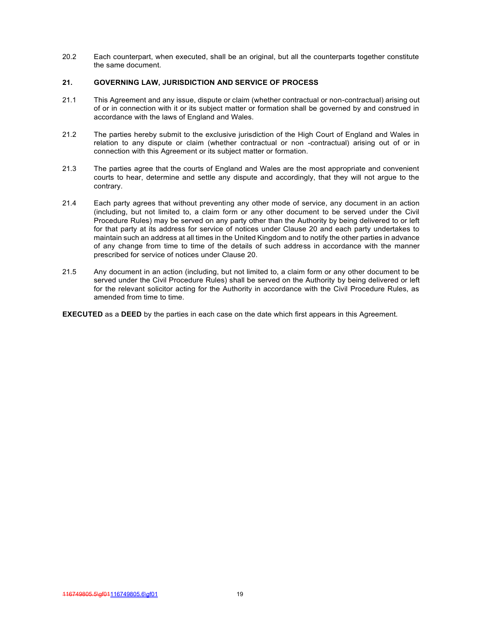20.2 Each counterpart, when executed, shall be an original, but all the counterparts together constitute the same document.

## **21. GOVERNING LAW, JURISDICTION AND SERVICE OF PROCESS**

- 21.1 This Agreement and any issue, dispute or claim (whether contractual or non-contractual) arising out of or in connection with it or its subject matter or formation shall be governed by and construed in accordance with the laws of England and Wales.
- 21.2 The parties hereby submit to the exclusive jurisdiction of the High Court of England and Wales in relation to any dispute or claim (whether contractual or non -contractual) arising out of or in connection with this Agreement or its subject matter or formation.
- 21.3 The parties agree that the courts of England and Wales are the most appropriate and convenient courts to hear, determine and settle any dispute and accordingly, that they will not argue to the contrary.
- 21.4 Each party agrees that without preventing any other mode of service, any document in an action (including, but not limited to, a claim form or any other document to be served under the Civil Procedure Rules) may be served on any party other than the Authority by being delivered to or left for that party at its address for service of notices under Clause 20 and each party undertakes to maintain such an address at all times in the United Kingdom and to notify the other parties in advance of any change from time to time of the details of such address in accordance with the manner prescribed for service of notices under Clause 20.
- 21.5 Any document in an action (including, but not limited to, a claim form or any other document to be served under the Civil Procedure Rules) shall be served on the Authority by being delivered or left for the relevant solicitor acting for the Authority in accordance with the Civil Procedure Rules, as amended from time to time.

**EXECUTED** as a **DEED** by the parties in each case on the date which first appears in this Agreement.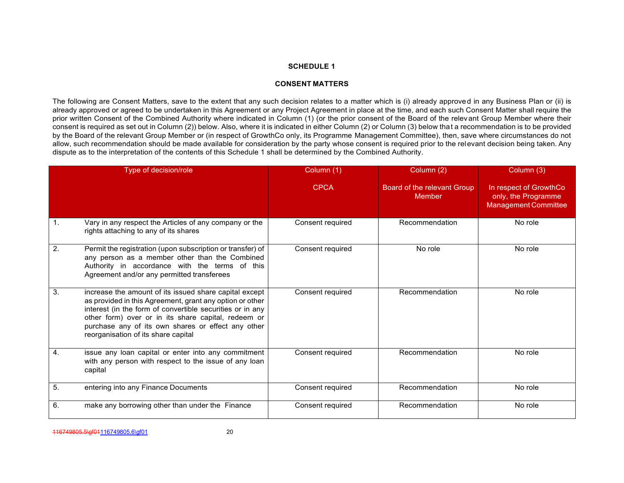## **CONSENT MATTERS**

The following are Consent Matters, save to the extent that any such decision relates to a matter which is (i) already approved in any Business Plan or (ii) is already approved or agreed to be undertaken in this Agreement or any Project Agreement in place at the time, and each such Consent Matter shall require the prior written Consent of the Combined Authority where indicated in Column (1) (or the prior consent of the Board of the relevant Group Member where their consent is required as set out in Column (2)) below. Also, where it is indicated in either Column (2) or Column (3) below that a recommendation is to be provided by the Board of the relevant Group Member or (in respect of GrowthCo only, its Programme Management Committee), then, save where circumstances do not allow, such recommendation should be made available for consideration by the party whose consent is required prior to the relevant decision being taken. Any dispute as to the interpretation of the contents of this Schedule 1 shall be determined by the Combined Authority.

<span id="page-20-0"></span>

|                | Type of decision/role                                                                                                                                                                                                                                                                                                               | Column (1)       | Column (2)                                   | Column (3)                                                                   |
|----------------|-------------------------------------------------------------------------------------------------------------------------------------------------------------------------------------------------------------------------------------------------------------------------------------------------------------------------------------|------------------|----------------------------------------------|------------------------------------------------------------------------------|
|                |                                                                                                                                                                                                                                                                                                                                     | <b>CPCA</b>      | Board of the relevant Group<br><b>Member</b> | In respect of GrowthCo<br>only, the Programme<br><b>Management Committee</b> |
| $\mathbf{1}$ . | Vary in any respect the Articles of any company or the<br>rights attaching to any of its shares                                                                                                                                                                                                                                     | Consent required | Recommendation                               | No role                                                                      |
| 2.             | Permit the registration (upon subscription or transfer) of<br>any person as a member other than the Combined<br>Authority in accordance with the terms of this<br>Agreement and/or any permitted transferees                                                                                                                        | Consent required | No role                                      | No role                                                                      |
| 3.             | increase the amount of its issued share capital except<br>as provided in this Agreement, grant any option or other<br>interest (in the form of convertible securities or in any<br>other form) over or in its share capital, redeem or<br>purchase any of its own shares or effect any other<br>reorganisation of its share capital | Consent required | Recommendation                               | No role                                                                      |
| 4.             | issue any loan capital or enter into any commitment<br>with any person with respect to the issue of any loan<br>capital                                                                                                                                                                                                             | Consent required | Recommendation                               | No role                                                                      |
| 5.             | entering into any Finance Documents                                                                                                                                                                                                                                                                                                 | Consent required | Recommendation                               | No role                                                                      |
| 6.             | make any borrowing other than under the Finance                                                                                                                                                                                                                                                                                     | Consent required | Recommendation                               | No role                                                                      |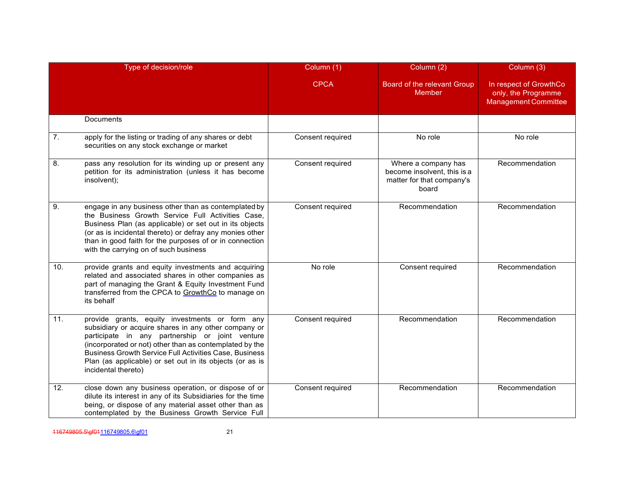|     | Type of decision/role                                                                                                                                                                                                                                                                                                                                                    | Column (1)       | Column (2)                                                                               | Column (3)                                                                   |
|-----|--------------------------------------------------------------------------------------------------------------------------------------------------------------------------------------------------------------------------------------------------------------------------------------------------------------------------------------------------------------------------|------------------|------------------------------------------------------------------------------------------|------------------------------------------------------------------------------|
|     |                                                                                                                                                                                                                                                                                                                                                                          | <b>CPCA</b>      | Board of the relevant Group<br>Member                                                    | In respect of GrowthCo<br>only, the Programme<br><b>Management Committee</b> |
|     | <b>Documents</b>                                                                                                                                                                                                                                                                                                                                                         |                  |                                                                                          |                                                                              |
| 7.  | apply for the listing or trading of any shares or debt<br>securities on any stock exchange or market                                                                                                                                                                                                                                                                     | Consent required | No role                                                                                  | No role                                                                      |
| 8.  | pass any resolution for its winding up or present any<br>petition for its administration (unless it has become<br>insolvent);                                                                                                                                                                                                                                            | Consent required | Where a company has<br>become insolvent, this is a<br>matter for that company's<br>board | Recommendation                                                               |
| 9.  | engage in any business other than as contemplated by<br>the Business Growth Service Full Activities Case,<br>Business Plan (as applicable) or set out in its objects<br>(or as is incidental thereto) or defray any monies other<br>than in good faith for the purposes of or in connection<br>with the carrying on of such business                                     | Consent required | Recommendation                                                                           | Recommendation                                                               |
| 10. | provide grants and equity investments and acquiring<br>related and associated shares in other companies as<br>part of managing the Grant & Equity Investment Fund<br>transferred from the CPCA to GrowthCo to manage on<br>its behalf                                                                                                                                    | No role          | Consent required                                                                         | Recommendation                                                               |
| 11. | provide grants, equity investments or form any<br>subsidiary or acquire shares in any other company or<br>participate in any partnership or joint venture<br>(incorporated or not) other than as contemplated by the<br><b>Business Growth Service Full Activities Case, Business</b><br>Plan (as applicable) or set out in its objects (or as is<br>incidental thereto) | Consent required | Recommendation                                                                           | Recommendation                                                               |
| 12. | close down any business operation, or dispose of or<br>dilute its interest in any of its Subsidiaries for the time<br>being, or dispose of any material asset other than as<br>contemplated by the Business Growth Service Full                                                                                                                                          | Consent required | Recommendation                                                                           | Recommendation                                                               |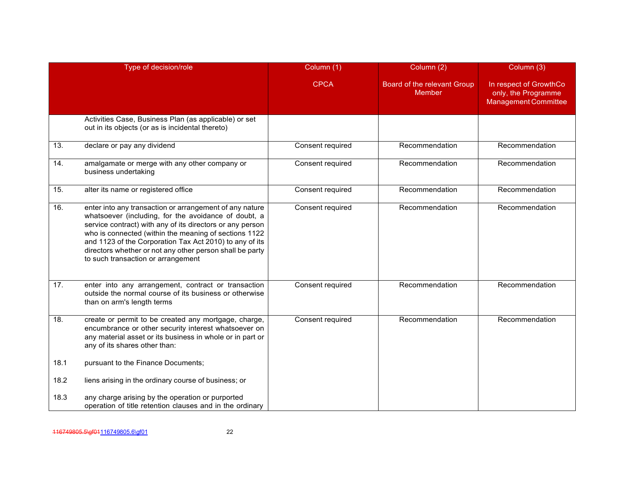|      | Type of decision/role                                                                                                                                                                                                                                                                                                                                                                              | Column (1)       | Column (2)                                   | Column (3)                                                                   |
|------|----------------------------------------------------------------------------------------------------------------------------------------------------------------------------------------------------------------------------------------------------------------------------------------------------------------------------------------------------------------------------------------------------|------------------|----------------------------------------------|------------------------------------------------------------------------------|
|      |                                                                                                                                                                                                                                                                                                                                                                                                    | <b>CPCA</b>      | Board of the relevant Group<br><b>Member</b> | In respect of GrowthCo<br>only, the Programme<br><b>Management Committee</b> |
|      | Activities Case, Business Plan (as applicable) or set<br>out in its objects (or as is incidental thereto)                                                                                                                                                                                                                                                                                          |                  |                                              |                                                                              |
| 13.  | declare or pay any dividend                                                                                                                                                                                                                                                                                                                                                                        | Consent required | Recommendation                               | Recommendation                                                               |
| 14.  | amalgamate or merge with any other company or<br>business undertaking                                                                                                                                                                                                                                                                                                                              | Consent required | Recommendation                               | Recommendation                                                               |
| 15.  | alter its name or registered office                                                                                                                                                                                                                                                                                                                                                                | Consent required | Recommendation                               | Recommendation                                                               |
| 16.  | enter into any transaction or arrangement of any nature<br>whatsoever (including, for the avoidance of doubt, a<br>service contract) with any of its directors or any person<br>who is connected (within the meaning of sections 1122<br>and 1123 of the Corporation Tax Act 2010) to any of its<br>directors whether or not any other person shall be party<br>to such transaction or arrangement | Consent required | Recommendation                               | Recommendation                                                               |
| 17.  | enter into any arrangement, contract or transaction<br>outside the normal course of its business or otherwise<br>than on arm's length terms                                                                                                                                                                                                                                                        | Consent required | Recommendation                               | Recommendation                                                               |
| 18.  | create or permit to be created any mortgage, charge,<br>encumbrance or other security interest whatsoever on<br>any material asset or its business in whole or in part or<br>any of its shares other than:                                                                                                                                                                                         | Consent required | Recommendation                               | Recommendation                                                               |
| 18.1 | pursuant to the Finance Documents;                                                                                                                                                                                                                                                                                                                                                                 |                  |                                              |                                                                              |
| 18.2 | liens arising in the ordinary course of business; or                                                                                                                                                                                                                                                                                                                                               |                  |                                              |                                                                              |
| 18.3 | any charge arising by the operation or purported<br>operation of title retention clauses and in the ordinary                                                                                                                                                                                                                                                                                       |                  |                                              |                                                                              |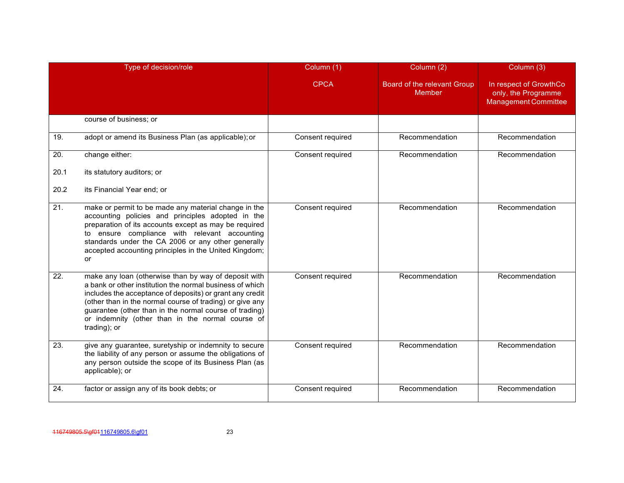|      | Type of decision/role                                                                                                                                                                                                                                                                                                                                                  | Column (1)       | Column (2)                            | Column (3)                                                                   |
|------|------------------------------------------------------------------------------------------------------------------------------------------------------------------------------------------------------------------------------------------------------------------------------------------------------------------------------------------------------------------------|------------------|---------------------------------------|------------------------------------------------------------------------------|
|      |                                                                                                                                                                                                                                                                                                                                                                        | <b>CPCA</b>      | Board of the relevant Group<br>Member | In respect of GrowthCo<br>only, the Programme<br><b>Management Committee</b> |
|      | course of business; or                                                                                                                                                                                                                                                                                                                                                 |                  |                                       |                                                                              |
| 19.  | adopt or amend its Business Plan (as applicable); or                                                                                                                                                                                                                                                                                                                   | Consent required | Recommendation                        | Recommendation                                                               |
| 20.  | change either:                                                                                                                                                                                                                                                                                                                                                         | Consent required | Recommendation                        | Recommendation                                                               |
| 20.1 | its statutory auditors; or                                                                                                                                                                                                                                                                                                                                             |                  |                                       |                                                                              |
| 20.2 | its Financial Year end; or                                                                                                                                                                                                                                                                                                                                             |                  |                                       |                                                                              |
| 21.  | make or permit to be made any material change in the<br>accounting policies and principles adopted in the<br>preparation of its accounts except as may be required<br>to ensure compliance with relevant accounting<br>standards under the CA 2006 or any other generally<br>accepted accounting principles in the United Kingdom;<br>or                               | Consent required | Recommendation                        | Recommendation                                                               |
| 22.  | make any loan (otherwise than by way of deposit with<br>a bank or other institution the normal business of which<br>includes the acceptance of deposits) or grant any credit<br>(other than in the normal course of trading) or give any<br>guarantee (other than in the normal course of trading)<br>or indemnity (other than in the normal course of<br>trading); or | Consent required | Recommendation                        | Recommendation                                                               |
| 23.  | give any guarantee, suretyship or indemnity to secure<br>the liability of any person or assume the obligations of<br>any person outside the scope of its Business Plan (as<br>applicable); or                                                                                                                                                                          | Consent required | Recommendation                        | Recommendation                                                               |
| 24.  | factor or assign any of its book debts; or                                                                                                                                                                                                                                                                                                                             | Consent required | Recommendation                        | Recommendation                                                               |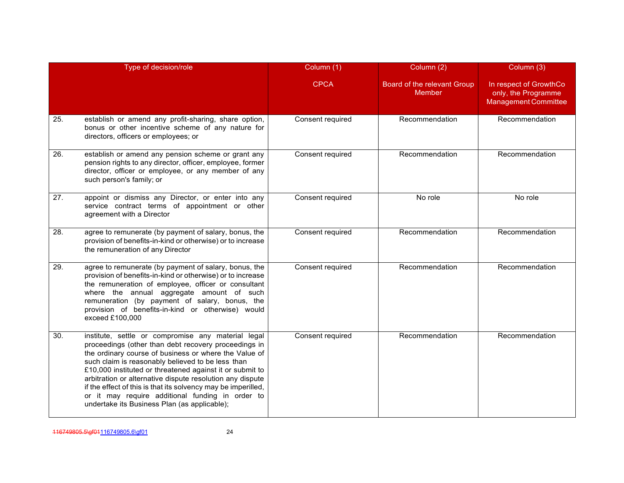|     | Type of decision/role                                                                                                                                                                                                                                                                                                                                                                                                                                                                                                  | Column (1)       | Column (2)                            | Column (3)                                                                   |
|-----|------------------------------------------------------------------------------------------------------------------------------------------------------------------------------------------------------------------------------------------------------------------------------------------------------------------------------------------------------------------------------------------------------------------------------------------------------------------------------------------------------------------------|------------------|---------------------------------------|------------------------------------------------------------------------------|
|     |                                                                                                                                                                                                                                                                                                                                                                                                                                                                                                                        | <b>CPCA</b>      | Board of the relevant Group<br>Member | In respect of GrowthCo<br>only, the Programme<br><b>Management Committee</b> |
| 25. | establish or amend any profit-sharing, share option,<br>bonus or other incentive scheme of any nature for<br>directors, officers or employees; or                                                                                                                                                                                                                                                                                                                                                                      | Consent required | Recommendation                        | Recommendation                                                               |
| 26. | establish or amend any pension scheme or grant any<br>pension rights to any director, officer, employee, former<br>director, officer or employee, or any member of any<br>such person's family; or                                                                                                                                                                                                                                                                                                                     | Consent required | Recommendation                        | Recommendation                                                               |
| 27. | appoint or dismiss any Director, or enter into any<br>service contract terms of appointment or other<br>agreement with a Director                                                                                                                                                                                                                                                                                                                                                                                      | Consent required | No role                               | No role                                                                      |
| 28. | agree to remunerate (by payment of salary, bonus, the<br>provision of benefits-in-kind or otherwise) or to increase<br>the remuneration of any Director                                                                                                                                                                                                                                                                                                                                                                | Consent required | Recommendation                        | Recommendation                                                               |
| 29. | agree to remunerate (by payment of salary, bonus, the<br>provision of benefits-in-kind or otherwise) or to increase<br>the remuneration of employee, officer or consultant<br>where the annual aggregate amount of such<br>remuneration (by payment of salary, bonus, the<br>provision of benefits-in-kind or otherwise) would<br>exceed £100,000                                                                                                                                                                      | Consent required | Recommendation                        | Recommendation                                                               |
| 30. | institute, settle or compromise any material legal<br>proceedings (other than debt recovery proceedings in<br>the ordinary course of business or where the Value of<br>such claim is reasonably believed to be less than<br>£10,000 instituted or threatened against it or submit to<br>arbitration or alternative dispute resolution any dispute<br>if the effect of this is that its solvency may be imperilled,<br>or it may require additional funding in order to<br>undertake its Business Plan (as applicable); | Consent required | Recommendation                        | Recommendation                                                               |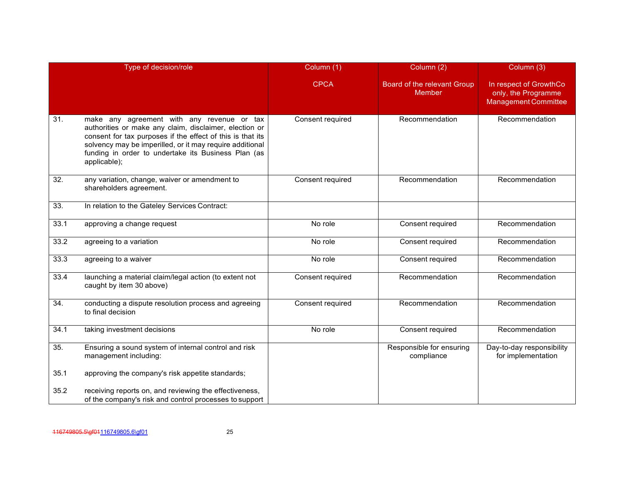|      | Type of decision/role                                                                                                                                                                                                                                                                                 | Column (1)       | Column (2)                                   | Column (3)                                                                   |
|------|-------------------------------------------------------------------------------------------------------------------------------------------------------------------------------------------------------------------------------------------------------------------------------------------------------|------------------|----------------------------------------------|------------------------------------------------------------------------------|
|      |                                                                                                                                                                                                                                                                                                       | <b>CPCA</b>      | Board of the relevant Group<br><b>Member</b> | In respect of GrowthCo<br>only, the Programme<br><b>Management Committee</b> |
| 31.  | make any agreement with any revenue or tax<br>authorities or make any claim, disclaimer, election or<br>consent for tax purposes if the effect of this is that its<br>solvency may be imperilled, or it may require additional<br>funding in order to undertake its Business Plan (as<br>applicable); | Consent required | Recommendation                               | Recommendation                                                               |
| 32.  | any variation, change, waiver or amendment to<br>shareholders agreement.                                                                                                                                                                                                                              | Consent required | Recommendation                               | Recommendation                                                               |
| 33.  | In relation to the Gateley Services Contract:                                                                                                                                                                                                                                                         |                  |                                              |                                                                              |
| 33.1 | approving a change request                                                                                                                                                                                                                                                                            | No role          | Consent required                             | Recommendation                                                               |
| 33.2 | agreeing to a variation                                                                                                                                                                                                                                                                               | No role          | Consent required                             | Recommendation                                                               |
| 33.3 | agreeing to a waiver                                                                                                                                                                                                                                                                                  | No role          | Consent required                             | Recommendation                                                               |
| 33.4 | launching a material claim/legal action (to extent not<br>caught by item 30 above)                                                                                                                                                                                                                    | Consent required | Recommendation                               | Recommendation                                                               |
| 34.  | conducting a dispute resolution process and agreeing<br>to final decision                                                                                                                                                                                                                             | Consent required | Recommendation                               | Recommendation                                                               |
| 34.1 | taking investment decisions                                                                                                                                                                                                                                                                           | No role          | Consent required                             | Recommendation                                                               |
| 35.  | Ensuring a sound system of internal control and risk<br>management including:                                                                                                                                                                                                                         |                  | Responsible for ensuring<br>compliance       | Day-to-day responsibility<br>for implementation                              |
| 35.1 | approving the company's risk appetite standards;                                                                                                                                                                                                                                                      |                  |                                              |                                                                              |
| 35.2 | receiving reports on, and reviewing the effectiveness,<br>of the company's risk and control processes to support                                                                                                                                                                                      |                  |                                              |                                                                              |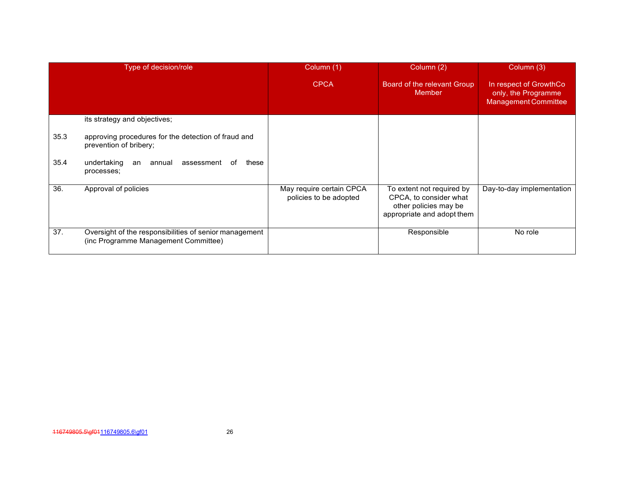| Type of decision/role |                                                                                                | Column (1)                                         | Column (2)                                                                                                 | Column (3)                                                                   |
|-----------------------|------------------------------------------------------------------------------------------------|----------------------------------------------------|------------------------------------------------------------------------------------------------------------|------------------------------------------------------------------------------|
|                       |                                                                                                | <b>CPCA</b>                                        | Board of the relevant Group<br>Member                                                                      | In respect of GrowthCo<br>only, the Programme<br><b>Management Committee</b> |
|                       | its strategy and objectives;                                                                   |                                                    |                                                                                                            |                                                                              |
| 35.3                  | approving procedures for the detection of fraud and<br>prevention of bribery;                  |                                                    |                                                                                                            |                                                                              |
| 35.4                  | undertaking<br>assessment<br>these<br>annual<br>an<br>of<br>processes;                         |                                                    |                                                                                                            |                                                                              |
| 36.                   | Approval of policies                                                                           | May require certain CPCA<br>policies to be adopted | To extent not required by<br>CPCA, to consider what<br>other policies may be<br>appropriate and adopt them | Day-to-day implementation                                                    |
| 37.                   | Oversight of the responsibilities of senior management<br>(inc Programme Management Committee) |                                                    | Responsible                                                                                                | No role                                                                      |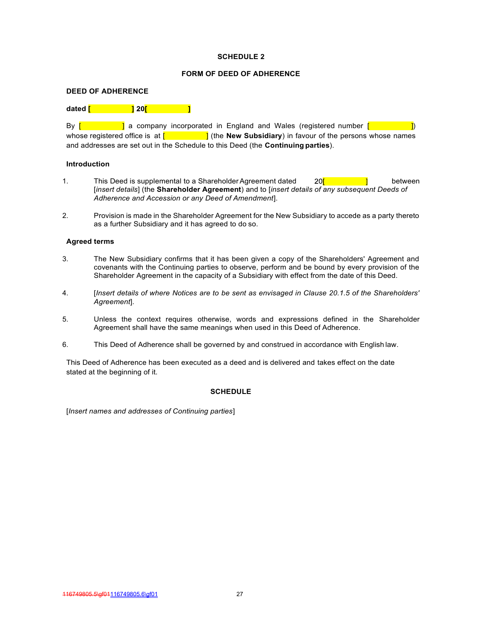## **FORM OF DEED OF ADHERENCE**

### **DEED OF ADHERENCE**

## **dated [ ]**

By  $[$   $]$  a company incorporated in England and Wales (registered number  $[$   $]$ whose registered office is at  $[$  **]** (the **New Subsidiary**) in favour of the persons whose names and addresses are set out in the Schedule to this Deed (the **Continuing parties**).

### **Introduction**

- 1. This Deed is supplemental to a Shareholder Agreement dated 20<sup>[11]</sup> between [*insert details*] (the **Shareholder Agreement**) and to [*insert details of any subsequent Deeds of Adherence and Accession or any Deed of Amendment*].
- 2. Provision is made in the Shareholder Agreement for the New Subsidiary to accede as a party thereto as a further Subsidiary and it has agreed to do so.

### **Agreed terms**

- 3. The New Subsidiary confirms that it has been given a copy of the Shareholders' Agreement and covenants with the Continuing parties to observe, perform and be bound by every provision of the Shareholder Agreement in the capacity of a Subsidiary with effect from the date of this Deed.
- 4. [*Insert details of where Notices are to be sent as envisaged in Clause 20.1.5 of the Shareholders' Agreement*].
- 5. Unless the context requires otherwise, words and expressions defined in the Shareholder Agreement shall have the same meanings when used in this Deed of Adherence.
- 6. This Deed of Adherence shall be governed by and construed in accordance with English law.

This Deed of Adherence has been executed as a deed and is delivered and takes effect on the date stated at the beginning of it.

### **SCHEDULE**

[*Insert names and addresses of Continuing parties*]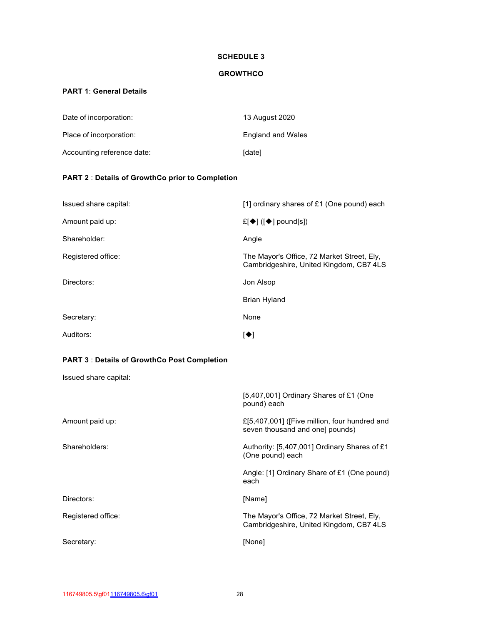## **GROWTHCO**

# <span id="page-28-1"></span><span id="page-28-0"></span>**PART 1**: **General Details**

| Date of incorporation:     | 13 August 2020           |
|----------------------------|--------------------------|
| Place of incorporation:    | <b>England and Wales</b> |
| Accounting reference date: | <b>Idatel</b>            |

# <span id="page-28-2"></span>**PART 2** : **Details of GrowthCo prior to Completion**

| Issued share capital: | [1] ordinary shares of £1 (One pound) each                                            |  |
|-----------------------|---------------------------------------------------------------------------------------|--|
| Amount paid up:       | £[♦] ([♦] pound[s])                                                                   |  |
| Shareholder:          | Angle                                                                                 |  |
| Registered office:    | The Mayor's Office, 72 Market Street, Ely,<br>Cambridgeshire, United Kingdom, CB7 4LS |  |
| Directors:            | Jon Alsop                                                                             |  |
|                       | <b>Brian Hyland</b>                                                                   |  |
| Secretary:            | None                                                                                  |  |
| Auditors:             | $\blacktriangleright$ $\blacktriangleright$                                           |  |

## <span id="page-28-3"></span>**PART 3** : **Details of GrowthCo Post Completion**

Issued share capital:

|                    | [5,407,001] Ordinary Shares of £1 (One<br>pound) each                                 |
|--------------------|---------------------------------------------------------------------------------------|
| Amount paid up:    | £[5,407,001] ([Five million, four hundred and<br>seven thousand and one] pounds)      |
| Shareholders:      | Authority: [5,407,001] Ordinary Shares of £1<br>(One pound) each                      |
|                    | Angle: [1] Ordinary Share of £1 (One pound)<br>each                                   |
| Directors:         | [Name]                                                                                |
| Registered office: | The Mayor's Office, 72 Market Street, Ely,<br>Cambridgeshire, United Kingdom, CB7 4LS |
| Secretary:         | [None]                                                                                |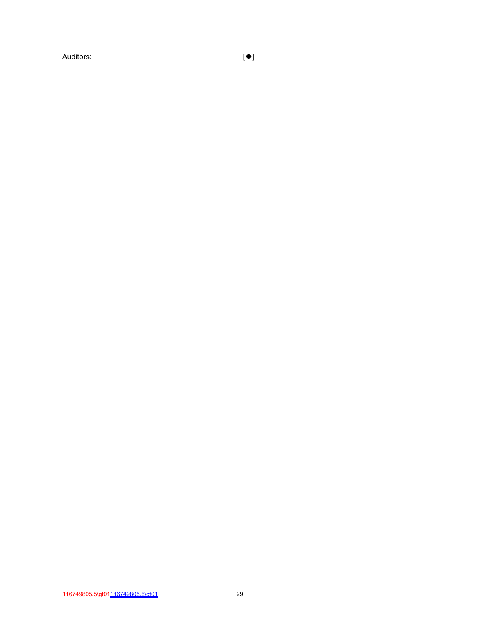Auditors: [◆]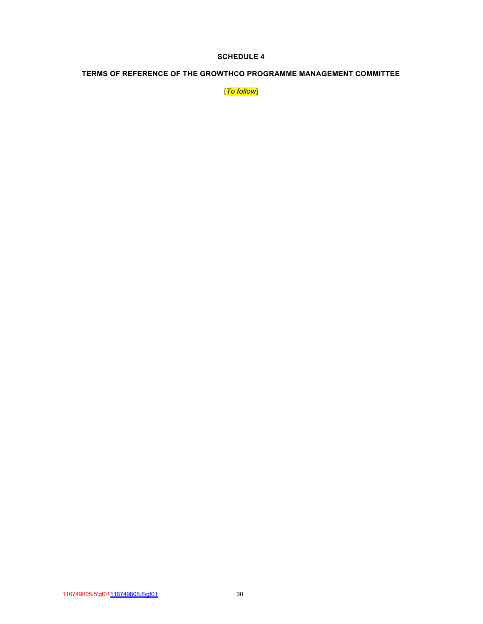# **TERMS OF REFERENCE OF THE GROWTHCO PROGRAMME MANAGEMENT COMMITTEE**

[*To follow*]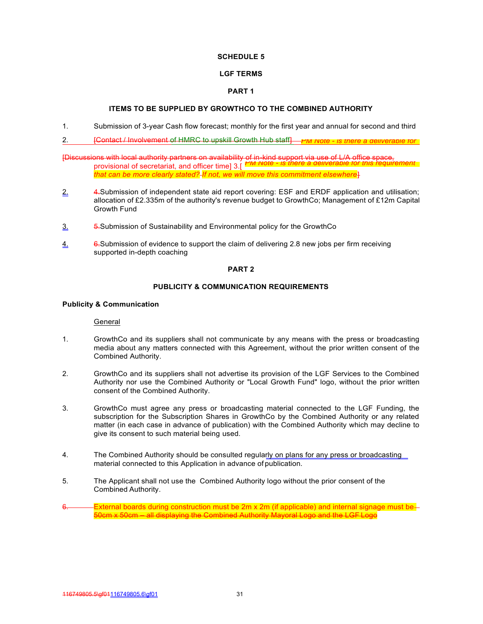## **LGF TERMS**

## **PART 1**

## **ITEMS TO BE SUPPLIED BY GROWTHCO TO THE COMBINED AUTHORITY**

- 1. Submission of 3-year Cash flow forecast; monthly for the first year and annual for second and third
- 2. [Contact / Involvement of HMRC to upskill Growth Hub staff] *PM Note is there a deliverable for*

*PM Note - is there a deliverable for this requirement* [Discussions with local authority partners on availability of in-kind support via use of L/A office space, provisional of secretariat, and officer time] 3.[ *that can be more clearly stated? If not, we will move this commitment elsewhere*]

- 2. 4-Submission of independent state aid report covering: ESF and ERDF application and utilisation; allocation of £2.335m of the authority's revenue budget to GrowthCo; Management of £12m Capital Growth Fund
- 3. 5.Submission of Sustainability and Environmental policy for the GrowthCo
- 4. 6.Submission of evidence to support the claim of delivering 2.8 new jobs per firm receiving supported in-depth coaching

## **PART 2**

## **PUBLICITY & COMMUNICATION REQUIREMENTS**

## **Publicity & Communication**

### General

- 1. GrowthCo and its suppliers shall not communicate by any means with the press or broadcasting media about any matters connected with this Agreement, without the prior written consent of the Combined Authority.
- 2. GrowthCo and its suppliers shall not advertise its provision of the LGF Services to the Combined Authority nor use the Combined Authority or "Local Growth Fund" logo, without the prior written consent of the Combined Authority.
- 3. GrowthCo must agree any press or broadcasting material connected to the LGF Funding, the subscription for the Subscription Shares in GrowthCo by the Combined Authority or any related matter (in each case in advance of publication) with the Combined Authority which may decline to give its consent to such material being used.
- 4. The Combined Authority should be consulted regularly on plans for any press or broadcasting material connected to this Application in advance of publication.
- 5. The Applicant shall not use the Combined Authority logo without the prior consent of the Combined Authority.
- External boards during construction must be 2m x 2m (if applicable) and internal signage must be-50cm x 50cm – all displaying the Combined Authority Mayoral Logo and the LGF Logo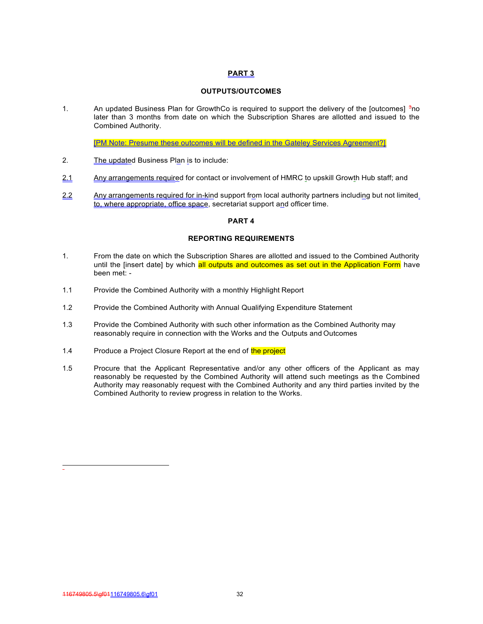# **PART 3**

# **OUTPUTS/OUTCOMES**

1. An updated Business Plan for GrowthCo is required to support the delivery of the [outcomes] 3no later than 3 months from date on which the Subscription Shares are allotted and issued to the Combined Authority.

[PM Note: Presume these outcomes will be defined in the Gateley Services Agreement?]

- 2. The updated Business Plan is to include:
- 2.1 Any arrangements required for contact or involvement of HMRC to upskill Growth Hub staff; and
- 2.2 Any arrangements required for in-kind support from local authority partners including but not limited to, where appropriate, office space, secretariat support and officer time.

## **PART 4**

## **REPORTING REQUIREMENTS**

- 1. From the date on which the Subscription Shares are allotted and issued to the Combined Authority until the [insert date] by which all outputs and outcomes as set out in the Application Form have been met: -
- 1.1 Provide the Combined Authority with a monthly Highlight Report
- 1.2 Provide the Combined Authority with Annual Qualifying Expenditure Statement
- 1.3 Provide the Combined Authority with such other information as the Combined Authority may reasonably require in connection with the Works and the Outputs and Outcomes
- 1.4 Produce a Project Closure Report at the end of the project
- 1.5 Procure that the Applicant Representative and/or any other officers of the Applicant as may reasonably be requested by the Combined Authority will attend such meetings as the Combined Authority may reasonably request with the Combined Authority and any third parties invited by the Combined Authority to review progress in relation to the Works.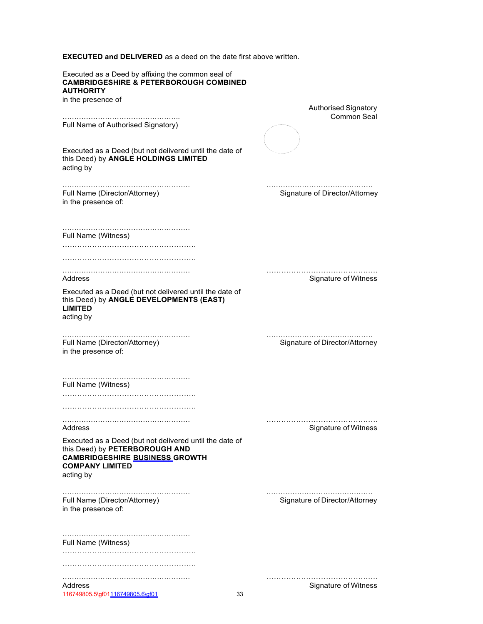**EXECUTED and DELIVERED** as a deed on the date first above written.

| Executed as a Deed by affixing the common seal of<br><b>CAMBRIDGESHIRE &amp; PETERBOROUGH COMBINED</b><br><b>AUTHORITY</b>                                                |                                |
|---------------------------------------------------------------------------------------------------------------------------------------------------------------------------|--------------------------------|
| in the presence of                                                                                                                                                        | <b>Authorised Signatory</b>    |
| Full Name of Authorised Signatory)                                                                                                                                        | Common Seal                    |
| Executed as a Deed (but not delivered until the date of<br>this Deed) by ANGLE HOLDINGS LIMITED<br>acting by                                                              |                                |
| Full Name (Director/Attorney)<br>in the presence of:                                                                                                                      | Signature of Director/Attorney |
| Full Name (Witness)                                                                                                                                                       |                                |
|                                                                                                                                                                           |                                |
| Address                                                                                                                                                                   | Signature of Witness           |
| Executed as a Deed (but not delivered until the date of<br>this Deed) by ANGLE DEVELOPMENTS (EAST)<br><b>LIMITED</b><br>acting by                                         |                                |
| Full Name (Director/Attorney)<br>in the presence of:                                                                                                                      | Signature of Director/Attorney |
| Full Name (Witness)                                                                                                                                                       |                                |
| Address                                                                                                                                                                   | Signature of Witness           |
| Executed as a Deed (but not delivered until the date of<br>this Deed) by PETERBOROUGH AND<br><b>CAMBRIDGESHIRE BUSINESS GROWTH</b><br><b>COMPANY LIMITED</b><br>acting by |                                |
| Full Name (Director/Attorney)<br>in the presence of:                                                                                                                      | Signature of Director/Attorney |
| Full Name (Witness)                                                                                                                                                       |                                |
|                                                                                                                                                                           |                                |
| Address                                                                                                                                                                   | Signature of Witness           |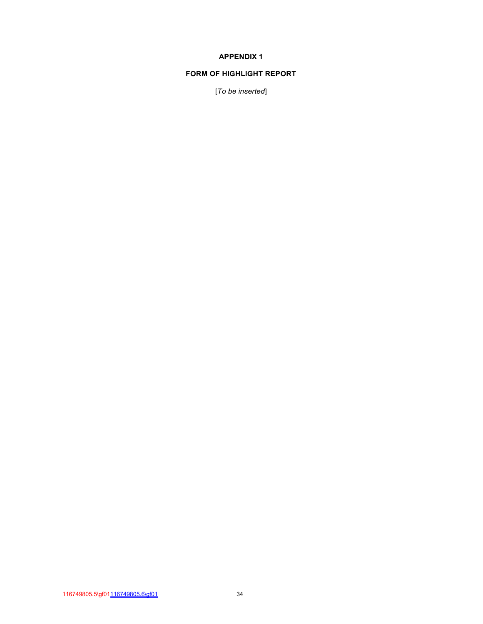## **APPENDIX 1**

## **FORM OF HIGHLIGHT REPORT**

[*To be inserted*]